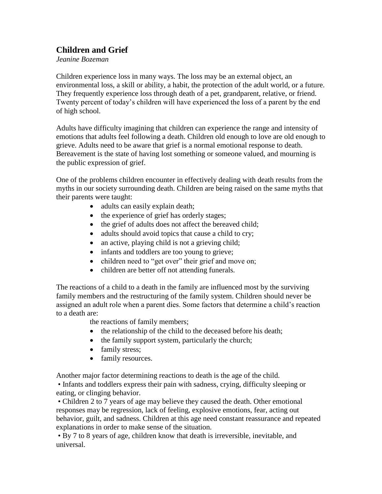## **Children and Grief**

*Jeanine Bozeman*

Children experience loss in many ways. The loss may be an external object, an environmental loss, a skill or ability, a habit, the protection of the adult world, or a future. They frequently experience loss through death of a pet, grandparent, relative, or friend. Twenty percent of today's children will have experienced the loss of a parent by the end of high school.

Adults have difficulty imagining that children can experience the range and intensity of emotions that adults feel following a death. Children old enough to love are old enough to grieve. Adults need to be aware that grief is a normal emotional response to death. Bereavement is the state of having lost something or someone valued, and mourning is the public expression of grief.

One of the problems children encounter in effectively dealing with death results from the myths in our society surrounding death. Children are being raised on the same myths that their parents were taught:

- adults can easily explain death;
- the experience of grief has orderly stages;
- the grief of adults does not affect the bereaved child;
- adults should avoid topics that cause a child to cry;
- an active, playing child is not a grieving child;
- infants and toddlers are too young to grieve;
- children need to "get over" their grief and move on;
- children are better off not attending funerals.

The reactions of a child to a death in the family are influenced most by the surviving family members and the restructuring of the family system. Children should never be assigned an adult role when a parent dies. Some factors that determine a child's reaction to a death are:

the reactions of family members;

- the relationship of the child to the deceased before his death;
- $\bullet$  the family support system, particularly the church;
- family stress;
- family resources.

Another major factor determining reactions to death is the age of the child.

• Infants and toddlers express their pain with sadness, crying, difficulty sleeping or eating, or clinging behavior.

• Children 2 to 7 years of age may believe they caused the death. Other emotional responses may be regression, lack of feeling, explosive emotions, fear, acting out behavior, guilt, and sadness. Children at this age need constant reassurance and repeated explanations in order to make sense of the situation.

• By 7 to 8 years of age, children know that death is irreversible, inevitable, and universal.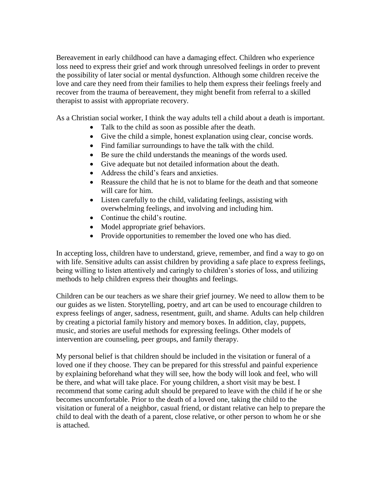Bereavement in early childhood can have a damaging effect. Children who experience loss need to express their grief and work through unresolved feelings in order to prevent the possibility of later social or mental dysfunction. Although some children receive the love and care they need from their families to help them express their feelings freely and recover from the trauma of bereavement, they might benefit from referral to a skilled therapist to assist with appropriate recovery.

As a Christian social worker, I think the way adults tell a child about a death is important.

- Talk to the child as soon as possible after the death.
- Give the child a simple, honest explanation using clear, concise words.
- Find familiar surroundings to have the talk with the child.
- Be sure the child understands the meanings of the words used.
- Give adequate but not detailed information about the death.
- Address the child's fears and anxieties.
- Reassure the child that he is not to blame for the death and that someone will care for him.
- Listen carefully to the child, validating feelings, assisting with overwhelming feelings, and involving and including him.
- Continue the child's routine.
- Model appropriate grief behaviors.
- Provide opportunities to remember the loved one who has died.

In accepting loss, children have to understand, grieve, remember, and find a way to go on with life. Sensitive adults can assist children by providing a safe place to express feelings, being willing to listen attentively and caringly to children's stories of loss, and utilizing methods to help children express their thoughts and feelings.

Children can be our teachers as we share their grief journey. We need to allow them to be our guides as we listen. Storytelling, poetry, and art can be used to encourage children to express feelings of anger, sadness, resentment, guilt, and shame. Adults can help children by creating a pictorial family history and memory boxes. In addition, clay, puppets, music, and stories are useful methods for expressing feelings. Other models of intervention are counseling, peer groups, and family therapy.

My personal belief is that children should be included in the visitation or funeral of a loved one if they choose. They can be prepared for this stressful and painful experience by explaining beforehand what they will see, how the body will look and feel, who will be there, and what will take place. For young children, a short visit may be best. I recommend that some caring adult should be prepared to leave with the child if he or she becomes uncomfortable. Prior to the death of a loved one, taking the child to the visitation or funeral of a neighbor, casual friend, or distant relative can help to prepare the child to deal with the death of a parent, close relative, or other person to whom he or she is attached.